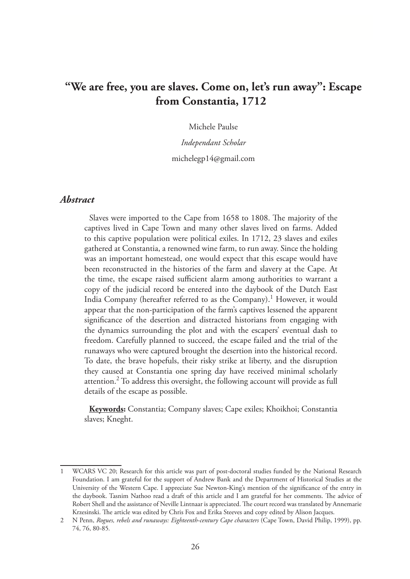# **"We are free, you are slaves. Come on, let's run away": Escape from Constantia, 1712**

Michele Paulse

*Independant Scholar* michelegp14@gmail.com

## *Abstract*

Slaves were imported to the Cape from 1658 to 1808. The majority of the captives lived in Cape Town and many other slaves lived on farms. Added to this captive population were political exiles. In 1712, 23 slaves and exiles gathered at Constantia, a renowned wine farm, to run away. Since the holding was an important homestead, one would expect that this escape would have been reconstructed in the histories of the farm and slavery at the Cape. At the time, the escape raised sufficient alarm among authorities to warrant a copy of the judicial record be entered into the daybook of the Dutch East India Company (hereafter referred to as the Company).<sup>1</sup> However, it would appear that the non-participation of the farm's captives lessened the apparent significance of the desertion and distracted historians from engaging with the dynamics surrounding the plot and with the escapers' eventual dash to freedom. Carefully planned to succeed, the escape failed and the trial of the runaways who were captured brought the desertion into the historical record. To date, the brave hopefuls, their risky strike at liberty, and the disruption they caused at Constantia one spring day have received minimal scholarly attention.<sup>2</sup> To address this oversight, the following account will provide as full details of the escape as possible.

**Keywords:** Constantia; Company slaves; Cape exiles; Khoikhoi; Constantia slaves; Kneght.

WCARS VC 20; Research for this article was part of post-doctoral studies funded by the National Research Foundation. I am grateful for the support of Andrew Bank and the Department of Historical Studies at the University of the Western Cape. I appreciate Sue Newton-King's mention of the significance of the entry in the daybook. Tasnim Nathoo read a draft of this article and I am grateful for her comments. The advice of Robert Shell and the assistance of Neville Lintnaar is appreciated. The court record was translated by Annemarie Krzesinski. The article was edited by Chris Fox and Erika Steeves and copy edited by Alison Jacques.

<sup>2</sup> N Penn, *Rogues, rebels and runaways: Eighteenth-century Cape characters* (Cape Town, David Philip, 1999), pp. 74, 76, 80-85*.*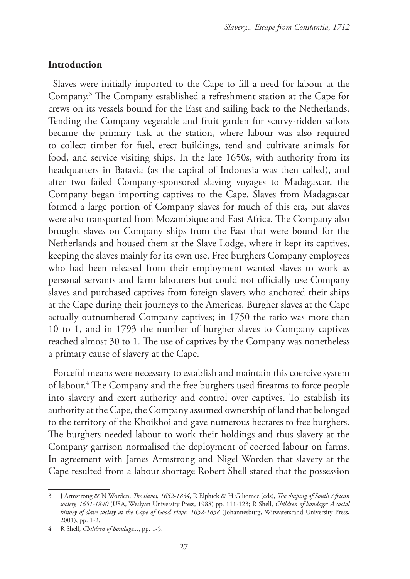# **Introduction**

Slaves were initially imported to the Cape to fill a need for labour at the Company.3 The Company established a refreshment station at the Cape for crews on its vessels bound for the East and sailing back to the Netherlands. Tending the Company vegetable and fruit garden for scurvy-ridden sailors became the primary task at the station, where labour was also required to collect timber for fuel, erect buildings, tend and cultivate animals for food, and service visiting ships. In the late 1650s, with authority from its headquarters in Batavia (as the capital of Indonesia was then called), and after two failed Company-sponsored slaving voyages to Madagascar, the Company began importing captives to the Cape. Slaves from Madagascar formed a large portion of Company slaves for much of this era, but slaves were also transported from Mozambique and East Africa. The Company also brought slaves on Company ships from the East that were bound for the Netherlands and housed them at the Slave Lodge, where it kept its captives, keeping the slaves mainly for its own use. Free burghers Company employees who had been released from their employment wanted slaves to work as personal servants and farm labourers but could not officially use Company slaves and purchased captives from foreign slavers who anchored their ships at the Cape during their journeys to the Americas. Burgher slaves at the Cape actually outnumbered Company captives; in 1750 the ratio was more than 10 to 1, and in 1793 the number of burgher slaves to Company captives reached almost 30 to 1. The use of captives by the Company was nonetheless a primary cause of slavery at the Cape.

Forceful means were necessary to establish and maintain this coercive system of labour.4 The Company and the free burghers used firearms to force people into slavery and exert authority and control over captives. To establish its authority at the Cape, the Company assumed ownership of land that belonged to the territory of the Khoikhoi and gave numerous hectares to free burghers. The burghers needed labour to work their holdings and thus slavery at the Company garrison normalised the deployment of coerced labour on farms. In agreement with James Armstrong and Nigel Worden that slavery at the Cape resulted from a labour shortage Robert Shell stated that the possession

<sup>3</sup> J Armstrong & N Worden, *The slaves, 1652-1834*, R Elphick & H Giliomee (eds), *The shaping of South African society, 1651-1840* (USA, Weslyan University Press, 1988) pp. 111-123; R Shell, *Children of bondage: A social history of slave society at the Cape of Good Hope, 1652-1838* (Johannesburg, Witwatersrand University Press, 2001), pp. 1-2.

<sup>4</sup> R Shell, *Children of bondage...*, pp. 1-5.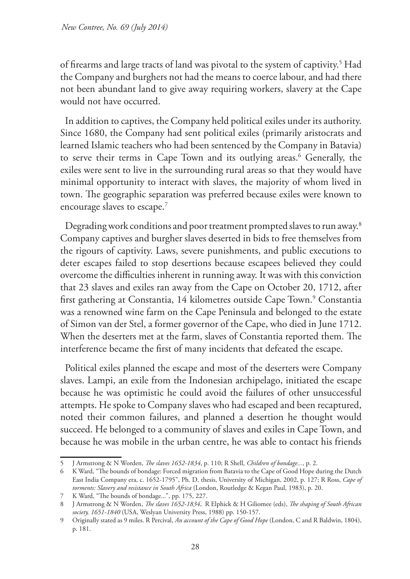of firearms and large tracts of land was pivotal to the system of captivity.<sup>5</sup> Had the Company and burghers not had the means to coerce labour, and had there not been abundant land to give away requiring workers, slavery at the Cape would not have occurred.

In addition to captives, the Company held political exiles under its authority. Since 1680, the Company had sent political exiles (primarily aristocrats and learned Islamic teachers who had been sentenced by the Company in Batavia) to serve their terms in Cape Town and its outlying areas.<sup>6</sup> Generally, the exiles were sent to live in the surrounding rural areas so that they would have minimal opportunity to interact with slaves, the majority of whom lived in town. The geographic separation was preferred because exiles were known to encourage slaves to escape.<sup>7</sup>

Degrading work conditions and poor treatment prompted slaves to run away.8 Company captives and burgher slaves deserted in bids to free themselves from the rigours of captivity. Laws, severe punishments, and public executions to deter escapes failed to stop desertions because escapees believed they could overcome the difficulties inherent in running away. It was with this conviction that 23 slaves and exiles ran away from the Cape on October 20, 1712, after first gathering at Constantia, 14 kilometres outside Cape Town.<sup>9</sup> Constantia was a renowned wine farm on the Cape Peninsula and belonged to the estate of Simon van der Stel, a former governor of the Cape, who died in June 1712. When the deserters met at the farm, slaves of Constantia reported them. The interference became the first of many incidents that defeated the escape.

Political exiles planned the escape and most of the deserters were Company slaves. Lampi, an exile from the Indonesian archipelago, initiated the escape because he was optimistic he could avoid the failures of other unsuccessful attempts. He spoke to Company slaves who had escaped and been recaptured, noted their common failures, and planned a desertion he thought would succeed. He belonged to a community of slaves and exiles in Cape Town, and because he was mobile in the urban centre, he was able to contact his friends

<sup>5</sup> J Armstrong & N Worden, *The slaves 1652-1834*, p. 110; R Shell, *Children of bondage...*, p. 2.

<sup>6</sup> K Ward, "The bounds of bondage: Forced migration from Batavia to the Cape of Good Hope during the Dutch East India Company era, c. 1652-1795", Ph. D. thesis, University of Michigan, 2002, p. 127; R Ross, *Cape of torments: Slavery and resistance in South Africa* (London, Routledge & Kegan Paul, 1983), p. 20.

<sup>7</sup> K Ward, "The bounds of bondage...", pp. 175, 227.

<sup>8</sup> J Armstrong & N Worden, *The slaves 1652-1834*, R Elphick & H Giliomee (eds), *The shaping of South African society, 1651-1840* (USA, Weslyan University Press, 1988) pp. 150-157.

<sup>9</sup> Originally stated as 9 miles. R Percival, *An account of the Cape of Good Hope* (London, C and R Baldwin, 1804), p. 181.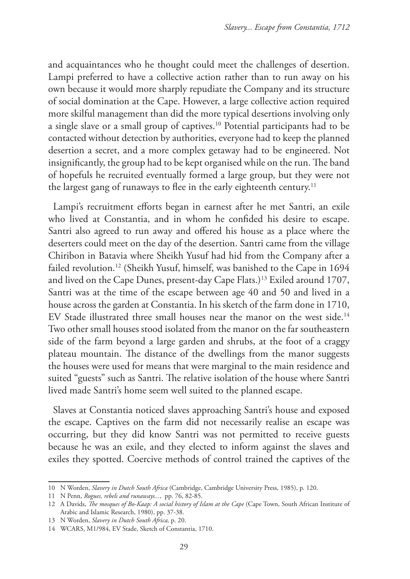and acquaintances who he thought could meet the challenges of desertion. Lampi preferred to have a collective action rather than to run away on his own because it would more sharply repudiate the Company and its structure of social domination at the Cape. However, a large collective action required more skilful management than did the more typical desertions involving only a single slave or a small group of captives.10 Potential participants had to be contacted without detection by authorities, everyone had to keep the planned desertion a secret, and a more complex getaway had to be engineered. Not insignificantly, the group had to be kept organised while on the run. The band of hopefuls he recruited eventually formed a large group, but they were not the largest gang of runaways to flee in the early eighteenth century.<sup>11</sup>

Lampi's recruitment efforts began in earnest after he met Santri, an exile who lived at Constantia, and in whom he confided his desire to escape. Santri also agreed to run away and offered his house as a place where the deserters could meet on the day of the desertion. Santri came from the village Chiribon in Batavia where Sheikh Yusuf had hid from the Company after a failed revolution.<sup>12</sup> (Sheikh Yusuf, himself, was banished to the Cape in 1694 and lived on the Cape Dunes, present-day Cape Flats.)<sup>13</sup> Exiled around 1707, Santri was at the time of the escape between age 40 and 50 and lived in a house across the garden at Constantia. In his sketch of the farm done in 1710, EV Stade illustrated three small houses near the manor on the west side.<sup>14</sup> Two other small houses stood isolated from the manor on the far southeastern side of the farm beyond a large garden and shrubs, at the foot of a craggy plateau mountain. The distance of the dwellings from the manor suggests the houses were used for means that were marginal to the main residence and suited "guests" such as Santri. The relative isolation of the house where Santri lived made Santri's home seem well suited to the planned escape.

Slaves at Constantia noticed slaves approaching Santri's house and exposed the escape. Captives on the farm did not necessarily realise an escape was occurring, but they did know Santri was not permitted to receive guests because he was an exile, and they elected to inform against the slaves and exiles they spotted. Coercive methods of control trained the captives of the

<sup>10</sup> N Worden, *Slavery in Dutch South Africa* (Cambridge, Cambridge University Press, 1985), p. 120.

<sup>11</sup> N Penn, *Rogues, rebels and runaways...*, pp. 76, 82-85.

<sup>12</sup> A Davids, *The mosques of Bo-Kaap: A social history of Islam at the Cape* (Cape Town, South African Institute of Arabic and Islamic Research, 1980), pp. 37-38.

<sup>13</sup> N Worden, *Slavery in Dutch South Africa,* p. 20.

<sup>14</sup> WCARS, M1/984, EV Stade, Sketch of Constantia, 1710.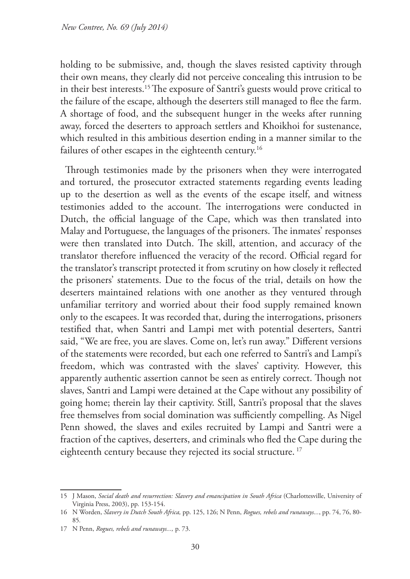holding to be submissive, and, though the slaves resisted captivity through their own means, they clearly did not perceive concealing this intrusion to be in their best interests.15 The exposure of Santri's guests would prove critical to the failure of the escape, although the deserters still managed to flee the farm. A shortage of food, and the subsequent hunger in the weeks after running away, forced the deserters to approach settlers and Khoikhoi for sustenance, which resulted in this ambitious desertion ending in a manner similar to the failures of other escapes in the eighteenth century.<sup>16</sup>

Through testimonies made by the prisoners when they were interrogated and tortured, the prosecutor extracted statements regarding events leading up to the desertion as well as the events of the escape itself, and witness testimonies added to the account. The interrogations were conducted in Dutch, the official language of the Cape, which was then translated into Malay and Portuguese, the languages of the prisoners. The inmates' responses were then translated into Dutch. The skill, attention, and accuracy of the translator therefore influenced the veracity of the record. Official regard for the translator's transcript protected it from scrutiny on how closely it reflected the prisoners' statements. Due to the focus of the trial, details on how the deserters maintained relations with one another as they ventured through unfamiliar territory and worried about their food supply remained known only to the escapees. It was recorded that, during the interrogations, prisoners testified that, when Santri and Lampi met with potential deserters, Santri said, "We are free, you are slaves. Come on, let's run away." Different versions of the statements were recorded, but each one referred to Santri's and Lampi's freedom, which was contrasted with the slaves' captivity. However, this apparently authentic assertion cannot be seen as entirely correct. Though not slaves, Santri and Lampi were detained at the Cape without any possibility of going home; therein lay their captivity. Still, Santri's proposal that the slaves free themselves from social domination was sufficiently compelling. As Nigel Penn showed, the slaves and exiles recruited by Lampi and Santri were a fraction of the captives, deserters, and criminals who fled the Cape during the eighteenth century because they rejected its social structure.<sup>17</sup>

<sup>15</sup> J Mason, *Social death and resurrection: Slavery and emancipation in South Africa* (Charlottesville, University of Virginia Press, 2003), pp. 153-154.

<sup>16</sup> N Worden, *Slavery in Dutch South Africa,* pp. 125, 126; N Penn, *Rogues, rebels and runaways...*, pp. 74, 76, 80- 85*.*

<sup>17</sup> N Penn, *Rogues, rebels and runaways...,* p. 73.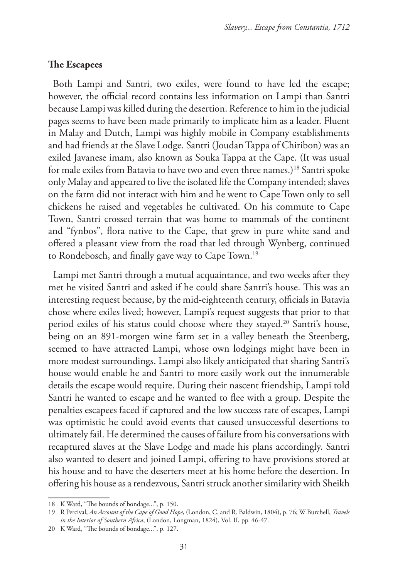## **The Escapees**

Both Lampi and Santri, two exiles, were found to have led the escape; however, the official record contains less information on Lampi than Santri because Lampi was killed during the desertion. Reference to him in the judicial pages seems to have been made primarily to implicate him as a leader. Fluent in Malay and Dutch, Lampi was highly mobile in Company establishments and had friends at the Slave Lodge. Santri (Joudan Tappa of Chiribon) was an exiled Javanese imam, also known as Souka Tappa at the Cape. (It was usual for male exiles from Batavia to have two and even three names.)18 Santri spoke only Malay and appeared to live the isolated life the Company intended; slaves on the farm did not interact with him and he went to Cape Town only to sell chickens he raised and vegetables he cultivated. On his commute to Cape Town, Santri crossed terrain that was home to mammals of the continent and "fynbos", flora native to the Cape, that grew in pure white sand and offered a pleasant view from the road that led through Wynberg, continued to Rondebosch, and finally gave way to Cape Town.19

Lampi met Santri through a mutual acquaintance, and two weeks after they met he visited Santri and asked if he could share Santri's house. This was an interesting request because, by the mid-eighteenth century, officials in Batavia chose where exiles lived; however, Lampi's request suggests that prior to that period exiles of his status could choose where they stayed.<sup>20</sup> Santri's house, being on an 891-morgen wine farm set in a valley beneath the Steenberg, seemed to have attracted Lampi, whose own lodgings might have been in more modest surroundings. Lampi also likely anticipated that sharing Santri's house would enable he and Santri to more easily work out the innumerable details the escape would require. During their nascent friendship, Lampi told Santri he wanted to escape and he wanted to flee with a group. Despite the penalties escapees faced if captured and the low success rate of escapes, Lampi was optimistic he could avoid events that caused unsuccessful desertions to ultimately fail. He determined the causes of failure from his conversations with recaptured slaves at the Slave Lodge and made his plans accordingly. Santri also wanted to desert and joined Lampi, offering to have provisions stored at his house and to have the deserters meet at his home before the desertion. In offering his house as a rendezvous, Santri struck another similarity with Sheikh

<sup>18</sup> K Ward, "The bounds of bondage...", p. 150.

<sup>19</sup> R Percival, *An Account of the Cape of Good Hope*, (London, C. and R. Baldwin, 1804), p. 76; W Burchell, *Travels in the Interior of Southern Africa*, (London, Longman, 1824), Vol. II, pp. 46-47.

<sup>20</sup> K Ward, "The bounds of bondage...", p. 127.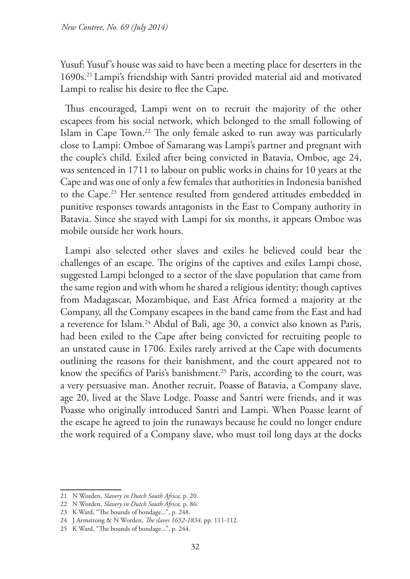Yusuf: Yusuf's house was said to have been a meeting place for deserters in the 1690s.21 Lampi's friendship with Santri provided material aid and motivated Lampi to realise his desire to flee the Cape.

Thus encouraged, Lampi went on to recruit the majority of the other escapees from his social network, which belonged to the small following of Islam in Cape Town.22 The only female asked to run away was particularly close to Lampi: Omboe of Samarang was Lampi's partner and pregnant with the couple's child. Exiled after being convicted in Batavia, Omboe, age 24, was sentenced in 1711 to labour on public works in chains for 10 years at the Cape and was one of only a few females that authorities in Indonesia banished to the Cape.<sup>23</sup> Her sentence resulted from gendered attitudes embedded in punitive responses towards antagonists in the East to Company authority in Batavia. Since she stayed with Lampi for six months, it appears Omboe was mobile outside her work hours.

Lampi also selected other slaves and exiles he believed could bear the challenges of an escape. The origins of the captives and exiles Lampi chose, suggested Lampi belonged to a sector of the slave population that came from the same region and with whom he shared a religious identity; though captives from Madagascar, Mozambique, and East Africa formed a majority at the Company, all the Company escapees in the band came from the East and had a reverence for Islam.24 Abdul of Bali, age 30, a convict also known as Paris, had been exiled to the Cape after being convicted for recruiting people to an unstated cause in 1706. Exiles rarely arrived at the Cape with documents outlining the reasons for their banishment, and the court appeared not to know the specifics of Paris's banishment.<sup>25</sup> Paris, according to the court, was a very persuasive man. Another recruit, Poasse of Batavia, a Company slave, age 20, lived at the Slave Lodge. Poasse and Santri were friends, and it was Poasse who originally introduced Santri and Lampi. When Poasse learnt of the escape he agreed to join the runaways because he could no longer endure the work required of a Company slave, who must toil long days at the docks

<sup>21</sup> N Worden, *Slavery in Dutch South Africa,* p. 20.

<sup>22</sup> N Worden, *Slavery in Dutch South Africa,* p. 86.

<sup>23</sup> K Ward, "The bounds of bondage...", p. 248.

<sup>24</sup> J Armstrong & N Worden, *The slaves 1652-1834,* pp. 111-112.

<sup>25</sup> K Ward, "The bounds of bondage...", p. 244.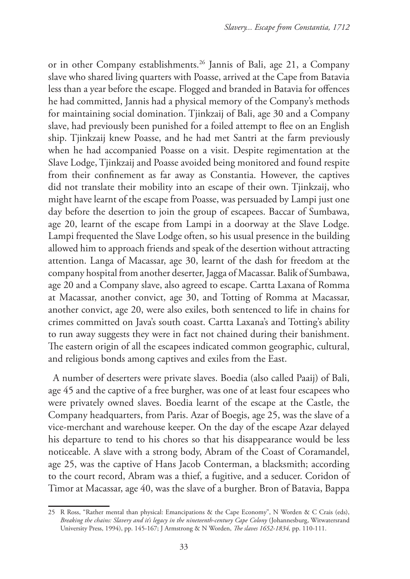or in other Company establishments.26 Jannis of Bali, age 21, a Company slave who shared living quarters with Poasse, arrived at the Cape from Batavia less than a year before the escape. Flogged and branded in Batavia for offences he had committed, Jannis had a physical memory of the Company's methods for maintaining social domination. Tjinkzaij of Bali, age 30 and a Company slave, had previously been punished for a foiled attempt to flee on an English ship. Tjinkzaij knew Poasse, and he had met Santri at the farm previously when he had accompanied Poasse on a visit. Despite regimentation at the Slave Lodge, Tjinkzaij and Poasse avoided being monitored and found respite from their confinement as far away as Constantia. However, the captives did not translate their mobility into an escape of their own. Tjinkzaij, who might have learnt of the escape from Poasse, was persuaded by Lampi just one day before the desertion to join the group of escapees. Baccar of Sumbawa, age 20, learnt of the escape from Lampi in a doorway at the Slave Lodge. Lampi frequented the Slave Lodge often, so his usual presence in the building allowed him to approach friends and speak of the desertion without attracting attention. Langa of Macassar, age 30, learnt of the dash for freedom at the company hospital from another deserter, Jagga of Macassar. Balik of Sumbawa, age 20 and a Company slave, also agreed to escape. Cartta Laxana of Romma at Macassar, another convict, age 30, and Totting of Romma at Macassar, another convict, age 20, were also exiles, both sentenced to life in chains for crimes committed on Java's south coast. Cartta Laxana's and Totting's ability to run away suggests they were in fact not chained during their banishment. The eastern origin of all the escapees indicated common geographic, cultural, and religious bonds among captives and exiles from the East.

A number of deserters were private slaves. Boedia (also called Paaij) of Bali, age 45 and the captive of a free burgher, was one of at least four escapees who were privately owned slaves. Boedia learnt of the escape at the Castle, the Company headquarters, from Paris. Azar of Boegis, age 25, was the slave of a vice-merchant and warehouse keeper. On the day of the escape Azar delayed his departure to tend to his chores so that his disappearance would be less noticeable. A slave with a strong body, Abram of the Coast of Coramandel, age 25, was the captive of Hans Jacob Conterman, a blacksmith; according to the court record, Abram was a thief, a fugitive, and a seducer. Coridon of Timor at Macassar, age 40, was the slave of a burgher. Bron of Batavia, Bappa

<sup>25</sup> R Ross, "Rather mental than physical: Emancipations & the Cape Economy", N Worden & C Crais (eds), *Breaking the chains: Slavery and it's legacy in the nineteenth-century Cape Colony* (Johannesburg, Witwatersrand University Press, 1994), pp. 145-167; J Armstrong & N Worden, *The slaves 1652-1834,* pp. 110-111.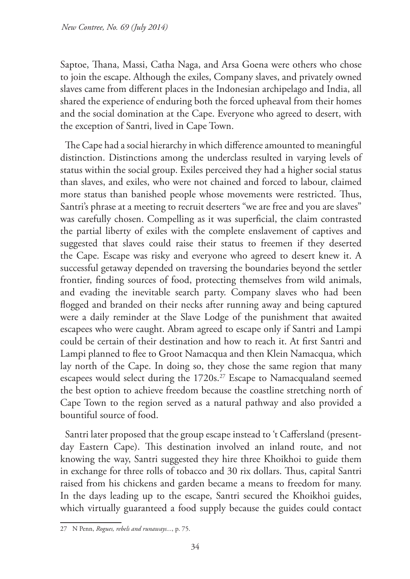Saptoe, Thana, Massi, Catha Naga, and Arsa Goena were others who chose to join the escape. Although the exiles, Company slaves, and privately owned slaves came from different places in the Indonesian archipelago and India, all shared the experience of enduring both the forced upheaval from their homes and the social domination at the Cape. Everyone who agreed to desert, with the exception of Santri, lived in Cape Town.

The Cape had a social hierarchy in which difference amounted to meaningful distinction. Distinctions among the underclass resulted in varying levels of status within the social group. Exiles perceived they had a higher social status than slaves, and exiles, who were not chained and forced to labour, claimed more status than banished people whose movements were restricted. Thus, Santri's phrase at a meeting to recruit deserters "we are free and you are slaves" was carefully chosen. Compelling as it was superficial, the claim contrasted the partial liberty of exiles with the complete enslavement of captives and suggested that slaves could raise their status to freemen if they deserted the Cape. Escape was risky and everyone who agreed to desert knew it. A successful getaway depended on traversing the boundaries beyond the settler frontier, finding sources of food, protecting themselves from wild animals, and evading the inevitable search party. Company slaves who had been flogged and branded on their necks after running away and being captured were a daily reminder at the Slave Lodge of the punishment that awaited escapees who were caught. Abram agreed to escape only if Santri and Lampi could be certain of their destination and how to reach it. At first Santri and Lampi planned to flee to Groot Namacqua and then Klein Namacqua, which lay north of the Cape. In doing so, they chose the same region that many escapees would select during the 1720s.<sup>27</sup> Escape to Namacqualand seemed the best option to achieve freedom because the coastline stretching north of Cape Town to the region served as a natural pathway and also provided a bountiful source of food.

Santri later proposed that the group escape instead to 't Caffersland (presentday Eastern Cape). This destination involved an inland route, and not knowing the way, Santri suggested they hire three Khoikhoi to guide them in exchange for three rolls of tobacco and 30 rix dollars. Thus, capital Santri raised from his chickens and garden became a means to freedom for many. In the days leading up to the escape, Santri secured the Khoikhoi guides, which virtually guaranteed a food supply because the guides could contact

<sup>27</sup> N Penn, *Rogues, rebels and runaways...*, p. 75.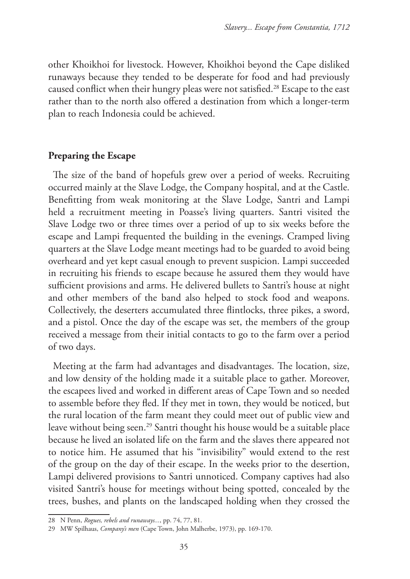other Khoikhoi for livestock. However, Khoikhoi beyond the Cape disliked runaways because they tended to be desperate for food and had previously caused conflict when their hungry pleas were not satisfied.<sup>28</sup> Escape to the east rather than to the north also offered a destination from which a longer-term plan to reach Indonesia could be achieved.

## **Preparing the Escape**

The size of the band of hopefuls grew over a period of weeks. Recruiting occurred mainly at the Slave Lodge, the Company hospital, and at the Castle. Benefitting from weak monitoring at the Slave Lodge, Santri and Lampi held a recruitment meeting in Poasse's living quarters. Santri visited the Slave Lodge two or three times over a period of up to six weeks before the escape and Lampi frequented the building in the evenings. Cramped living quarters at the Slave Lodge meant meetings had to be guarded to avoid being overheard and yet kept casual enough to prevent suspicion. Lampi succeeded in recruiting his friends to escape because he assured them they would have sufficient provisions and arms. He delivered bullets to Santri's house at night and other members of the band also helped to stock food and weapons. Collectively, the deserters accumulated three flintlocks, three pikes, a sword, and a pistol. Once the day of the escape was set, the members of the group received a message from their initial contacts to go to the farm over a period of two days.

Meeting at the farm had advantages and disadvantages. The location, size, and low density of the holding made it a suitable place to gather. Moreover, the escapees lived and worked in different areas of Cape Town and so needed to assemble before they fled. If they met in town, they would be noticed, but the rural location of the farm meant they could meet out of public view and leave without being seen.<sup>29</sup> Santri thought his house would be a suitable place because he lived an isolated life on the farm and the slaves there appeared not to notice him. He assumed that his "invisibility" would extend to the rest of the group on the day of their escape. In the weeks prior to the desertion, Lampi delivered provisions to Santri unnoticed. Company captives had also visited Santri's house for meetings without being spotted, concealed by the trees, bushes, and plants on the landscaped holding when they crossed the

<sup>28</sup> N Penn, *Rogues, rebels and runaways...*, pp. 74, 77, 81.

<sup>29</sup> MW Spilhaus, *Company's men* (Cape Town, John Malherbe, 1973), pp. 169-170.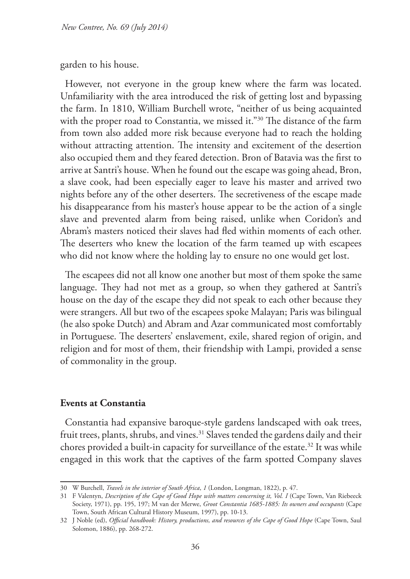#### garden to his house.

However, not everyone in the group knew where the farm was located. Unfamiliarity with the area introduced the risk of getting lost and bypassing the farm. In 1810, William Burchell wrote, "neither of us being acquainted with the proper road to Constantia, we missed it."<sup>30</sup> The distance of the farm from town also added more risk because everyone had to reach the holding without attracting attention. The intensity and excitement of the desertion also occupied them and they feared detection. Bron of Batavia was the first to arrive at Santri's house. When he found out the escape was going ahead, Bron, a slave cook, had been especially eager to leave his master and arrived two nights before any of the other deserters. The secretiveness of the escape made his disappearance from his master's house appear to be the action of a single slave and prevented alarm from being raised, unlike when Coridon's and Abram's masters noticed their slaves had fled within moments of each other. The deserters who knew the location of the farm teamed up with escapees who did not know where the holding lay to ensure no one would get lost.

The escapees did not all know one another but most of them spoke the same language. They had not met as a group, so when they gathered at Santri's house on the day of the escape they did not speak to each other because they were strangers. All but two of the escapees spoke Malayan; Paris was bilingual (he also spoke Dutch) and Abram and Azar communicated most comfortably in Portuguese. The deserters' enslavement, exile, shared region of origin, and religion and for most of them, their friendship with Lampi, provided a sense of commonality in the group.

# **Events at Constantia**

Constantia had expansive baroque-style gardens landscaped with oak trees, fruit trees, plants, shrubs, and vines.<sup>31</sup> Slaves tended the gardens daily and their chores provided a built-in capacity for surveillance of the estate.<sup>32</sup> It was while engaged in this work that the captives of the farm spotted Company slaves

<sup>30</sup> W Burchell, *Travels in the interior of South Africa*, *1* (London, Longman, 1822), p. 47.

<sup>31</sup> F Valentyn, *Description of the Cape of Good Hope with matters concerning it, Vol. I* (Cape Town, Van Riebeeck Society, 1971), pp. 195, 197; M van der Merwe, *Groot Constantia 1685-1885: Its owners and occupants* (Cape Town, South African Cultural History Museum, 1997), pp. 10-13.

<sup>32</sup> J Noble (ed), *Official handbook: History, productions, and resources of the Cape of Good Hope* (Cape Town, Saul Solomon, 1886), pp. 268-272.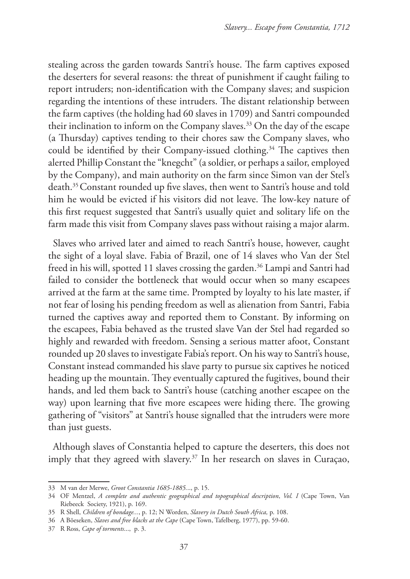stealing across the garden towards Santri's house. The farm captives exposed the deserters for several reasons: the threat of punishment if caught failing to report intruders; non-identification with the Company slaves; and suspicion regarding the intentions of these intruders. The distant relationship between the farm captives (the holding had 60 slaves in 1709) and Santri compounded their inclination to inform on the Company slaves.33 On the day of the escape (a Thursday) captives tending to their chores saw the Company slaves, who could be identified by their Company-issued clothing.<sup>34</sup> The captives then alerted Phillip Constant the "knegcht" (a soldier, or perhaps a sailor, employed by the Company), and main authority on the farm since Simon van der Stel's death.35Constant rounded up five slaves, then went to Santri's house and told him he would be evicted if his visitors did not leave. The low-key nature of this first request suggested that Santri's usually quiet and solitary life on the farm made this visit from Company slaves pass without raising a major alarm.

Slaves who arrived later and aimed to reach Santri's house, however, caught the sight of a loyal slave. Fabia of Brazil, one of 14 slaves who Van der Stel freed in his will, spotted 11 slaves crossing the garden.<sup>36</sup> Lampi and Santri had failed to consider the bottleneck that would occur when so many escapees arrived at the farm at the same time. Prompted by loyalty to his late master, if not fear of losing his pending freedom as well as alienation from Santri, Fabia turned the captives away and reported them to Constant. By informing on the escapees, Fabia behaved as the trusted slave Van der Stel had regarded so highly and rewarded with freedom. Sensing a serious matter afoot, Constant rounded up 20 slaves to investigate Fabia's report. On his way to Santri's house, Constant instead commanded his slave party to pursue six captives he noticed heading up the mountain. They eventually captured the fugitives, bound their hands, and led them back to Santri's house (catching another escapee on the way) upon learning that five more escapees were hiding there. The growing gathering of "visitors" at Santri's house signalled that the intruders were more than just guests.

Although slaves of Constantia helped to capture the deserters, this does not imply that they agreed with slavery.<sup>37</sup> In her research on slaves in Curaçao,

<sup>33</sup> M van der Merwe, *Groot Constantia 1685-1885.*.., p. 15.

<sup>34</sup> OF Mentzel, *A complete and authentic geographical and topographical description*, *Vol. I* (Cape Town, Van Riebeeck Society, 1921), p. 169.

<sup>35</sup> R Shell, *Children of bondage...*, p. 12; N Worden, *Slavery in Dutch South Africa,* p. 108.

<sup>36</sup> A Böeseken, *Slaves and free blacks at the Cape* (Cape Town, Tafelberg, 1977), pp. 59-60.

<sup>37</sup> R Ross, *Cape of torments*..., p. 3.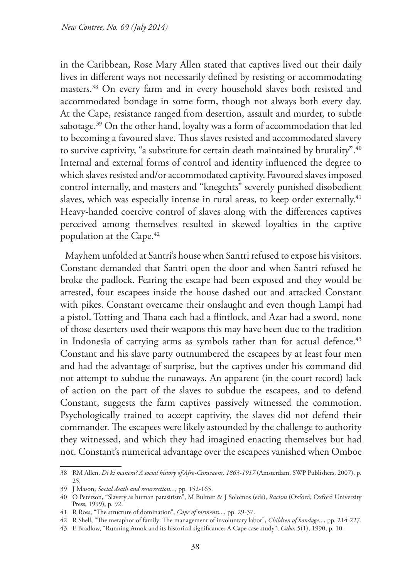in the Caribbean, Rose Mary Allen stated that captives lived out their daily lives in different ways not necessarily defined by resisting or accommodating masters.38 On every farm and in every household slaves both resisted and accommodated bondage in some form, though not always both every day. At the Cape, resistance ranged from desertion, assault and murder, to subtle sabotage.<sup>39</sup> On the other hand, loyalty was a form of accommodation that led to becoming a favoured slave. Thus slaves resisted and accommodated slavery to survive captivity, "a substitute for certain death maintained by brutality".<sup>40</sup> Internal and external forms of control and identity influenced the degree to which slaves resisted and/or accommodated captivity. Favoured slaves imposed control internally, and masters and "knegchts" severely punished disobedient slaves, which was especially intense in rural areas, to keep order externally.<sup>41</sup> Heavy-handed coercive control of slaves along with the differences captives perceived among themselves resulted in skewed loyalties in the captive population at the Cape.<sup>42</sup>

Mayhem unfolded at Santri's house when Santri refused to expose his visitors. Constant demanded that Santri open the door and when Santri refused he broke the padlock. Fearing the escape had been exposed and they would be arrested, four escapees inside the house dashed out and attacked Constant with pikes. Constant overcame their onslaught and even though Lampi had a pistol, Totting and Thana each had a flintlock, and Azar had a sword, none of those deserters used their weapons this may have been due to the tradition in Indonesia of carrying arms as symbols rather than for actual defence.<sup>43</sup> Constant and his slave party outnumbered the escapees by at least four men and had the advantage of surprise, but the captives under his command did not attempt to subdue the runaways. An apparent (in the court record) lack of action on the part of the slaves to subdue the escapees, and to defend Constant, suggests the farm captives passively witnessed the commotion. Psychologically trained to accept captivity, the slaves did not defend their commander. The escapees were likely astounded by the challenge to authority they witnessed, and which they had imagined enacting themselves but had not. Constant's numerical advantage over the escapees vanished when Omboe

<sup>38</sup> RM Allen, *Di ki manera? A social history of Afro-Curacaons, 1863-1917* (Amsterdam, SWP Publishers, 2007), p. 25.

<sup>39</sup> J Mason, *Social death and resurrection...*, pp. 152-165.

<sup>40</sup> O Peterson, "Slavery as human parasitism", M Bulmer & J Solomos (eds), *Racism* (Oxford, Oxford University Press, 1999), p. 92.

<sup>41</sup> R Ross, "The structure of domination", *Cape of torments*..., pp. 29-37.

<sup>42</sup> R Shell, "The metaphor of family: The management of involuntary labor", *Children of bondage.*.., pp. 214-227.

<sup>43</sup> E Bradlow, "Running Amok and its historical significance: A Cape case study", *Cabo*, 5(1), 1990, p. 10.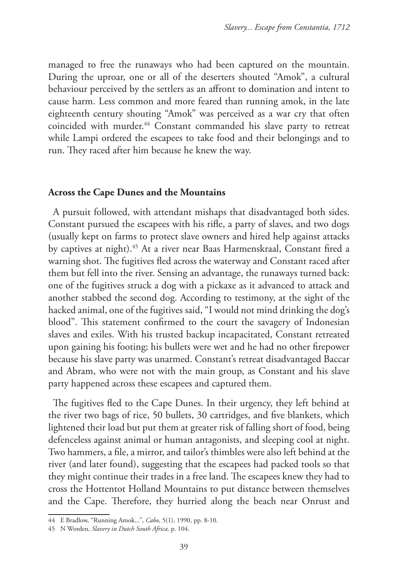managed to free the runaways who had been captured on the mountain. During the uproar, one or all of the deserters shouted "Amok", a cultural behaviour perceived by the settlers as an affront to domination and intent to cause harm. Less common and more feared than running amok, in the late eighteenth century shouting "Amok" was perceived as a war cry that often coincided with murder.<sup>44</sup> Constant commanded his slave party to retreat while Lampi ordered the escapees to take food and their belongings and to run. They raced after him because he knew the way.

#### **Across the Cape Dunes and the Mountains**

A pursuit followed, with attendant mishaps that disadvantaged both sides. Constant pursued the escapees with his rifle, a party of slaves, and two dogs (usually kept on farms to protect slave owners and hired help against attacks by captives at night).45 At a river near Baas Harmenskraal, Constant fired a warning shot. The fugitives fled across the waterway and Constant raced after them but fell into the river. Sensing an advantage, the runaways turned back: one of the fugitives struck a dog with a pickaxe as it advanced to attack and another stabbed the second dog. According to testimony, at the sight of the hacked animal, one of the fugitives said, "I would not mind drinking the dog's blood". This statement confirmed to the court the savagery of Indonesian slaves and exiles. With his trusted backup incapacitated, Constant retreated upon gaining his footing; his bullets were wet and he had no other firepower because his slave party was unarmed. Constant's retreat disadvantaged Baccar and Abram, who were not with the main group, as Constant and his slave party happened across these escapees and captured them.

The fugitives fled to the Cape Dunes. In their urgency, they left behind at the river two bags of rice, 50 bullets, 30 cartridges, and five blankets, which lightened their load but put them at greater risk of falling short of food, being defenceless against animal or human antagonists, and sleeping cool at night. Two hammers, a file, a mirror, and tailor's thimbles were also left behind at the river (and later found), suggesting that the escapees had packed tools so that they might continue their trades in a free land. The escapees knew they had to cross the Hottentot Holland Mountains to put distance between themselves and the Cape. Therefore, they hurried along the beach near Onrust and

<sup>44</sup> E Bradlow, "Running Amok...", *Cabo*, 5(1), 1990, pp. 8-10.

<sup>45</sup> N Worden, *Slavery in Dutch South Africa,* p. 104.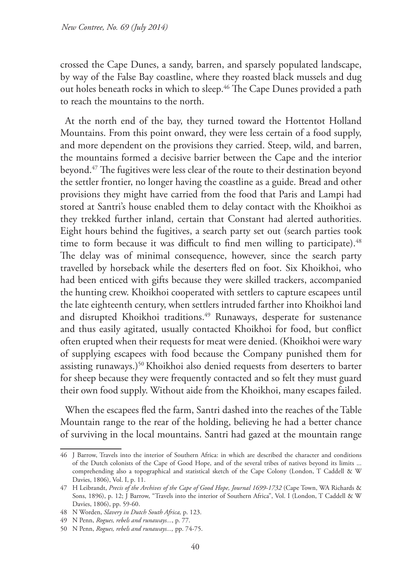crossed the Cape Dunes, a sandy, barren, and sparsely populated landscape, by way of the False Bay coastline, where they roasted black mussels and dug out holes beneath rocks in which to sleep.<sup>46</sup> The Cape Dunes provided a path to reach the mountains to the north.

At the north end of the bay, they turned toward the Hottentot Holland Mountains. From this point onward, they were less certain of a food supply, and more dependent on the provisions they carried. Steep, wild, and barren, the mountains formed a decisive barrier between the Cape and the interior beyond.47 The fugitives were less clear of the route to their destination beyond the settler frontier, no longer having the coastline as a guide. Bread and other provisions they might have carried from the food that Paris and Lampi had stored at Santri's house enabled them to delay contact with the Khoikhoi as they trekked further inland, certain that Constant had alerted authorities. Eight hours behind the fugitives, a search party set out (search parties took time to form because it was difficult to find men willing to participate).<sup>48</sup> The delay was of minimal consequence, however, since the search party travelled by horseback while the deserters fled on foot. Six Khoikhoi, who had been enticed with gifts because they were skilled trackers, accompanied the hunting crew. Khoikhoi cooperated with settlers to capture escapees until the late eighteenth century, when settlers intruded farther into Khoikhoi land and disrupted Khoikhoi traditions.<sup>49</sup> Runaways, desperate for sustenance and thus easily agitated, usually contacted Khoikhoi for food, but conflict often erupted when their requests for meat were denied. (Khoikhoi were wary of supplying escapees with food because the Company punished them for assisting runaways.)<sup>50</sup> Khoikhoi also denied requests from deserters to barter for sheep because they were frequently contacted and so felt they must guard their own food supply. Without aide from the Khoikhoi, many escapes failed.

When the escapees fled the farm, Santri dashed into the reaches of the Table Mountain range to the rear of the holding, believing he had a better chance of surviving in the local mountains. Santri had gazed at the mountain range

<sup>46</sup> J Barrow, Travels into the interior of Southern Africa: in which are described the character and conditions of the Dutch colonists of the Cape of Good Hope, and of the several tribes of natives beyond its limits ... comprehending also a topographical and statistical sketch of the Cape Colony (London, T Caddell & W Davies, 1806), Vol. I, p. 11.

<sup>47</sup> H Leibrandt, *Precis of the Archives of the Cape of Good Hope, Journal 1699-1732* (Cape Town, WA Richards & Sons, 1896), p. 12; J Barrow, "Travels into the interior of Southern Africa", Vol. I (London, T Caddell & W Davies, 1806), pp. 59-60.

<sup>48</sup> N Worden, *Slavery in Dutch South Africa,* p. 123.

<sup>49</sup> N Penn, *Rogues, rebels and runaways...*, p. 77.

<sup>50</sup> N Penn, *Rogues, rebels and runaways...,* pp. 74-75.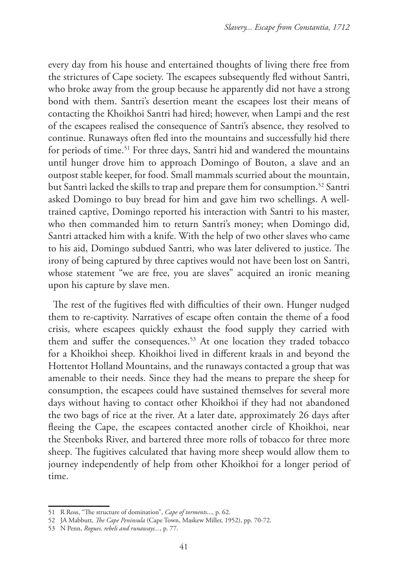every day from his house and entertained thoughts of living there free from the strictures of Cape society. The escapees subsequently fled without Santri, who broke away from the group because he apparently did not have a strong bond with them. Santri's desertion meant the escapees lost their means of contacting the Khoikhoi Santri had hired; however, when Lampi and the rest of the escapees realised the consequence of Santri's absence, they resolved to continue. Runaways often fled into the mountains and successfully hid there for periods of time.<sup>51</sup> For three days, Santri hid and wandered the mountains until hunger drove him to approach Domingo of Bouton, a slave and an outpost stable keeper, for food. Small mammals scurried about the mountain, but Santri lacked the skills to trap and prepare them for consumption.<sup>52</sup> Santri asked Domingo to buy bread for him and gave him two schellings. A welltrained captive, Domingo reported his interaction with Santri to his master, who then commanded him to return Santri's money; when Domingo did, Santri attacked him with a knife. With the help of two other slaves who came to his aid, Domingo subdued Santri, who was later delivered to justice. The irony of being captured by three captives would not have been lost on Santri, whose statement "we are free, you are slaves" acquired an ironic meaning upon his capture by slave men.

The rest of the fugitives fled with difficulties of their own. Hunger nudged them to re-captivity. Narratives of escape often contain the theme of a food crisis, where escapees quickly exhaust the food supply they carried with them and suffer the consequences.<sup>53</sup> At one location they traded tobacco for a Khoikhoi sheep. Khoikhoi lived in different kraals in and beyond the Hottentot Holland Mountains, and the runaways contacted a group that was amenable to their needs. Since they had the means to prepare the sheep for consumption, the escapees could have sustained themselves for several more days without having to contact other Khoikhoi if they had not abandoned the two bags of rice at the river. At a later date, approximately 26 days after fleeing the Cape, the escapees contacted another circle of Khoikhoi, near the Steenboks River, and bartered three more rolls of tobacco for three more sheep. The fugitives calculated that having more sheep would allow them to journey independently of help from other Khoikhoi for a longer period of time.

<sup>51</sup> R Ross, "The structure of domination", *Cape of torments*..., p. 62.

<sup>52</sup> JA Mabbutt, *The Cape Peninsula* (Cape Town, Maskew Miller, 1952), pp. 70-72.

<sup>53</sup> N Penn, *Rogues, rebels and runaways...*, p. 77.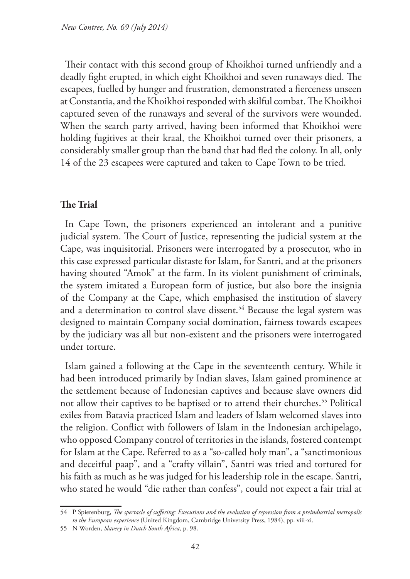Their contact with this second group of Khoikhoi turned unfriendly and a deadly fight erupted, in which eight Khoikhoi and seven runaways died. The escapees, fuelled by hunger and frustration, demonstrated a fierceness unseen at Constantia, and the Khoikhoi responded with skilful combat. The Khoikhoi captured seven of the runaways and several of the survivors were wounded. When the search party arrived, having been informed that Khoikhoi were holding fugitives at their kraal, the Khoikhoi turned over their prisoners, a considerably smaller group than the band that had fled the colony. In all, only 14 of the 23 escapees were captured and taken to Cape Town to be tried.

# **The Trial**

In Cape Town, the prisoners experienced an intolerant and a punitive judicial system. The Court of Justice, representing the judicial system at the Cape, was inquisitorial. Prisoners were interrogated by a prosecutor, who in this case expressed particular distaste for Islam, for Santri, and at the prisoners having shouted "Amok" at the farm. In its violent punishment of criminals, the system imitated a European form of justice, but also bore the insignia of the Company at the Cape, which emphasised the institution of slavery and a determination to control slave dissent.<sup>54</sup> Because the legal system was designed to maintain Company social domination, fairness towards escapees by the judiciary was all but non-existent and the prisoners were interrogated under torture.

Islam gained a following at the Cape in the seventeenth century. While it had been introduced primarily by Indian slaves, Islam gained prominence at the settlement because of Indonesian captives and because slave owners did not allow their captives to be baptised or to attend their churches.<sup>55</sup> Political exiles from Batavia practiced Islam and leaders of Islam welcomed slaves into the religion. Conflict with followers of Islam in the Indonesian archipelago, who opposed Company control of territories in the islands, fostered contempt for Islam at the Cape. Referred to as a "so-called holy man", a "sanctimonious and deceitful paap", and a "crafty villain", Santri was tried and tortured for his faith as much as he was judged for his leadership role in the escape. Santri, who stated he would "die rather than confess", could not expect a fair trial at

<sup>54</sup> P Spierenburg, *The spectacle of suffering: Executions and the evolution of repression from a preindustrial metropolis to the European experience* (United Kingdom, Cambridge University Press, 1984), pp. viii-xi.

<sup>55</sup> N Worden, *Slavery in Dutch South Africa,* p. 98.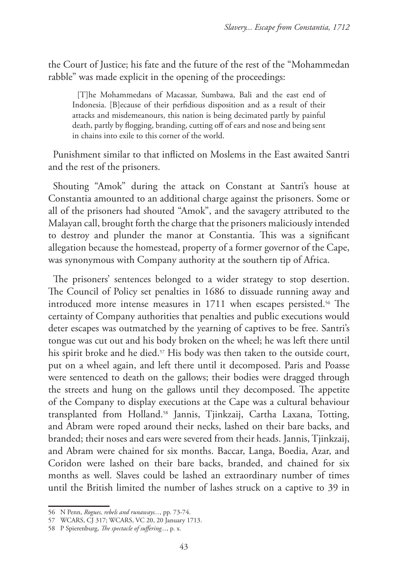the Court of Justice; his fate and the future of the rest of the "Mohammedan rabble" was made explicit in the opening of the proceedings:

[T]he Mohammedans of Macassar, Sumbawa, Bali and the east end of Indonesia. [B]ecause of their perfidious disposition and as a result of their attacks and misdemeanours, this nation is being decimated partly by painful death, partly by flogging, branding, cutting off of ears and nose and being sent in chains into exile to this corner of the world.

Punishment similar to that inflicted on Moslems in the East awaited Santri and the rest of the prisoners.

Shouting "Amok" during the attack on Constant at Santri's house at Constantia amounted to an additional charge against the prisoners. Some or all of the prisoners had shouted "Amok", and the savagery attributed to the Malayan call, brought forth the charge that the prisoners maliciously intended to destroy and plunder the manor at Constantia. This was a significant allegation because the homestead, property of a former governor of the Cape, was synonymous with Company authority at the southern tip of Africa.

The prisoners' sentences belonged to a wider strategy to stop desertion. The Council of Policy set penalties in 1686 to dissuade running away and introduced more intense measures in 1711 when escapes persisted.<sup>56</sup> The certainty of Company authorities that penalties and public executions would deter escapes was outmatched by the yearning of captives to be free. Santri's tongue was cut out and his body broken on the wheel; he was left there until his spirit broke and he died.<sup>57</sup> His body was then taken to the outside court, put on a wheel again, and left there until it decomposed. Paris and Poasse were sentenced to death on the gallows; their bodies were dragged through the streets and hung on the gallows until they decomposed. The appetite of the Company to display executions at the Cape was a cultural behaviour transplanted from Holland.58 Jannis, Tjinkzaij, Cartha Laxana, Totting, and Abram were roped around their necks, lashed on their bare backs, and branded; their noses and ears were severed from their heads. Jannis, Tjinkzaij, and Abram were chained for six months. Baccar, Langa, Boedia, Azar, and Coridon were lashed on their bare backs, branded, and chained for six months as well. Slaves could be lashed an extraordinary number of times until the British limited the number of lashes struck on a captive to 39 in

<sup>56</sup> N Penn, *Rogues, rebels and runaways...*, pp. 73-74.

<sup>57</sup> WCARS, CJ 317; WCARS, VC 20, 20 January 1713.

<sup>58</sup> P Spierenburg, *The spectacle of suffering...*, p. x*.*